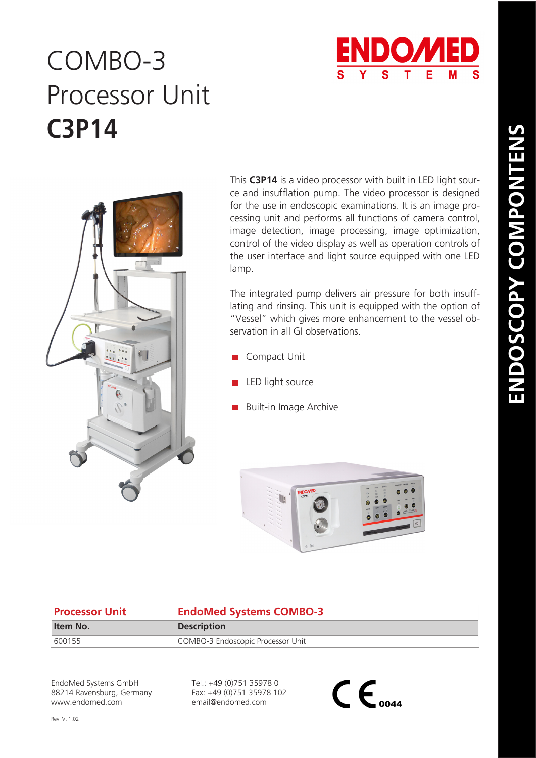

## COMBO-3 **C3P14** Processor Unit



This **C3P14** is a video processor with built in LED light source and insufflation pump. The video processor is designed for the use in endoscopic examinations. It is an image processing unit and performs all functions of camera control, image detection, image processing, image optimization, control of the video display as well as operation controls of the user interface and light source equipped with one LED lamp.

The integrated pump delivers air pressure for both insufflating and rinsing. This unit is equipped with the option of "Vessel" which gives more enhancement to the vessel observation in all GI observations.

- Compact Unit
- LED light source
- Built-in Image Archive



## **Processor Unit EndoMed Systems COMBO-3**

| Item No. | <b>Description</b>                |
|----------|-----------------------------------|
| 600155   | COMBO-3 Endoscopic Processor Unit |

EndoMed Systems GmbH 88214 Ravensburg, Germany www.endomed.com

Tel.: +49 (0)751 35978 0 Fax: +49 (0)751 35978 102 email@endomed.com

 $\mathsf{CE}_{\scriptscriptstyle \text{0044}}$